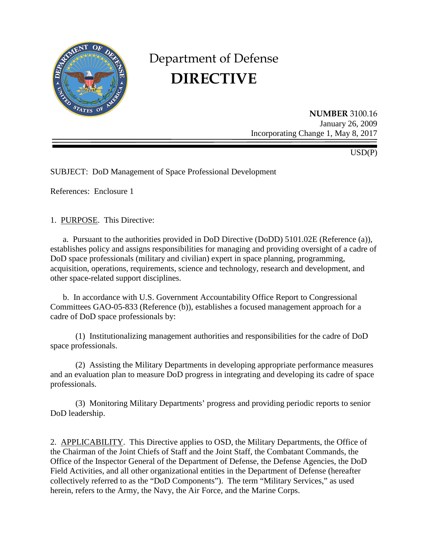

# Department of Defense **DIRECTIVE**

**NUMBER** 3100.16 January 26, 2009 Incorporating Change 1, May 8, 2017

USD(P)

SUBJECT: DoD Management of Space Professional Development

References: Enclosure 1

1. PURPOSE. This Directive:

a. Pursuant to the authorities provided in DoD Directive (DoDD) 5101.02E (Reference (a)), establishes policy and assigns responsibilities for managing and providing oversight of a cadre of DoD space professionals (military and civilian) expert in space planning, programming, acquisition, operations, requirements, science and technology, research and development, and other space-related support disciplines.

b. In accordance with U.S. Government Accountability Office Report to Congressional Committees GAO-05-833 (Reference (b)), establishes a focused management approach for a cadre of DoD space professionals by:

(1) Institutionalizing management authorities and responsibilities for the cadre of DoD space professionals.

(2) Assisting the Military Departments in developing appropriate performance measures and an evaluation plan to measure DoD progress in integrating and developing its cadre of space professionals.

(3) Monitoring Military Departments' progress and providing periodic reports to senior DoD leadership.

2. APPLICABILITY. This Directive applies to OSD, the Military Departments, the Office of the Chairman of the Joint Chiefs of Staff and the Joint Staff, the Combatant Commands, the Office of the Inspector General of the Department of Defense, the Defense Agencies, the DoD Field Activities, and all other organizational entities in the Department of Defense (hereafter collectively referred to as the "DoD Components"). The term "Military Services," as used herein, refers to the Army, the Navy, the Air Force, and the Marine Corps.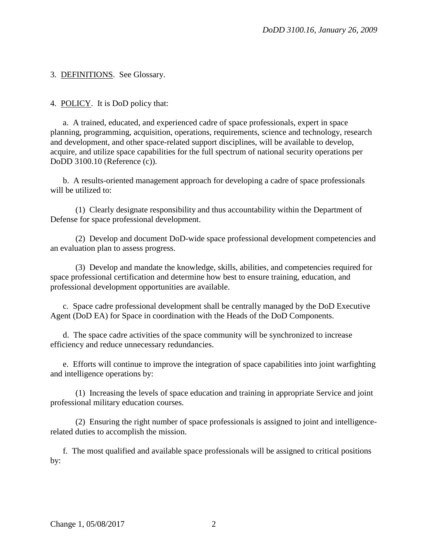3. DEFINITIONS. See Glossary.

4. POLICY. It is DoD policy that:

a. A trained, educated, and experienced cadre of space professionals, expert in space planning, programming, acquisition, operations, requirements, science and technology, research and development, and other space-related support disciplines, will be available to develop, acquire, and utilize space capabilities for the full spectrum of national security operations per DoDD 3100.10 (Reference (c)).

b. A results-oriented management approach for developing a cadre of space professionals will be utilized to:

(1) Clearly designate responsibility and thus accountability within the Department of Defense for space professional development.

(2) Develop and document DoD-wide space professional development competencies and an evaluation plan to assess progress.

(3) Develop and mandate the knowledge, skills, abilities, and competencies required for space professional certification and determine how best to ensure training, education, and professional development opportunities are available.

c. Space cadre professional development shall be centrally managed by the DoD Executive Agent (DoD EA) for Space in coordination with the Heads of the DoD Components.

d. The space cadre activities of the space community will be synchronized to increase efficiency and reduce unnecessary redundancies.

e. Efforts will continue to improve the integration of space capabilities into joint warfighting and intelligence operations by:

(1) Increasing the levels of space education and training in appropriate Service and joint professional military education courses.

(2) Ensuring the right number of space professionals is assigned to joint and intelligencerelated duties to accomplish the mission.

f. The most qualified and available space professionals will be assigned to critical positions by: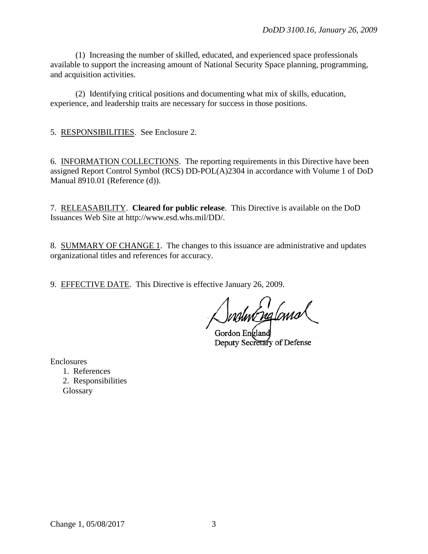(1) Increasing the number of skilled, educated, and experienced space professionals available to support the increasing amount of National Security Space planning, programming, and acquisition activities.

(2) Identifying critical positions and documenting what mix of skills, education, experience, and leadership traits are necessary for success in those positions.

5. RESPONSIBILITIES. See Enclosure 2.

6. INFORMATION COLLECTIONS. The reporting requirements in this Directive have been assigned Report Control Symbol (RCS) DD-POL(A)2304 in accordance with Volume 1 of DoD Manual 8910.01 (Reference (d)).

7. RELEASABILITY. **Cleared for public release**. This Directive is available on the DoD Issuances Web Site at http://www.esd.whs.mil/DD/.

8. SUMMARY OF CHANGE 1. The changes to this issuance are administrative and updates organizational titles and references for accuracy.

9. EFFECTIVE DATE. This Directive is effective January 26, 2009.

Snotwergland

Gordon England Deputy Secretary of Defense

Enclosures

1. References 2. Responsibilities Glossary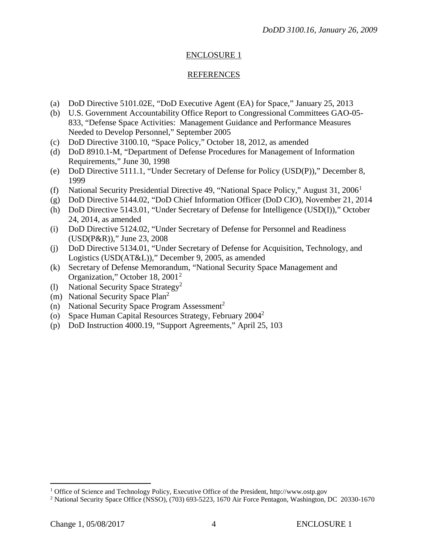# ENCLOSURE 1

## REFERENCES

- (a) DoD Directive 5101.02E, "DoD Executive Agent (EA) for Space," January 25, 2013
- (b) U.S. Government Accountability Office Report to Congressional Committees GAO-05- 833, "Defense Space Activities: Management Guidance and Performance Measures Needed to Develop Personnel," September 2005
- (c) DoD Directive 3100.10, "Space Policy," October 18, 2012, as amended
- (d) DoD 8910.1-M, "Department of Defense Procedures for Management of Information Requirements," June 30, 1998
- (e) DoD Directive 5111.1, "Under Secretary of Defense for Policy (USD(P))," December 8, 1999
- (f) National Security Presidential Directive 49, "National Space Policy," August  $31, 2006<sup>1</sup>$  $31, 2006<sup>1</sup>$  $31, 2006<sup>1</sup>$
- (g) DoD Directive 5144.02, "DoD Chief Information Officer (DoD CIO), November 21, 2014
- (h) DoD Directive 5143.01, "Under Secretary of Defense for Intelligence (USD(I))," October 24, 2014, as amended
- (i) DoD Directive 5124.02, "Under Secretary of Defense for Personnel and Readiness (USD(P&R))," June 23, 2008
- (j) DoD Directive 5134.01, "Under Secretary of Defense for Acquisition, Technology, and Logistics (USD(AT&L))," December 9, 2005, as amended
- (k) Secretary of Defense Memorandum, "National Security Space Management and Organization," October 18, [2](#page-3-1)001<sup>2</sup>
- (1) National Security Space Strategy<sup>2</sup>
- (m) National Security Space Plan2
- (n) National Security Space Program Assessment<sup>2</sup>
- (o) Space Human Capital Resources Strategy, February 2004<sup>2</sup>
- (p) DoD Instruction 4000.19, "Support Agreements," April 25, 103

 $\overline{a}$ 

<span id="page-3-0"></span><sup>&</sup>lt;sup>1</sup> Office of Science and Technology Policy, Executive Office of the President, http://www.ostp.gov

<span id="page-3-1"></span><sup>2</sup> National Security Space Office (NSSO), (703) 693-5223, 1670 Air Force Pentagon, Washington, DC 20330-1670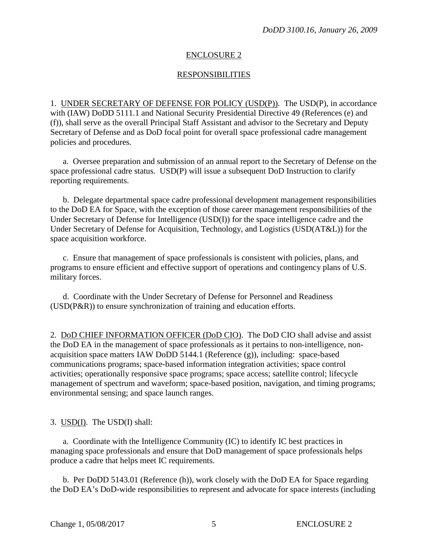## ENCLOSURE 2

## **RESPONSIBILITIES**

1. UNDER SECRETARY OF DEFENSE FOR POLICY (USD(P)). The USD(P), in accordance with (IAW) DoDD 5111.1 and National Security Presidential Directive 49 (References (e) and (f)), shall serve as the overall Principal Staff Assistant and advisor to the Secretary and Deputy Secretary of Defense and as DoD focal point for overall space professional cadre management policies and procedures.

a. Oversee preparation and submission of an annual report to the Secretary of Defense on the space professional cadre status. USD(P) will issue a subsequent DoD Instruction to clarify reporting requirements.

b. Delegate departmental space cadre professional development management responsibilities to the DoD EA for Space, with the exception of those career management responsibilities of the Under Secretary of Defense for Intelligence (USD(I)) for the space intelligence cadre and the Under Secretary of Defense for Acquisition, Technology, and Logistics (USD(AT&L)) for the space acquisition workforce.

c. Ensure that management of space professionals is consistent with policies, plans, and programs to ensure efficient and effective support of operations and contingency plans of U.S. military forces.

d. Coordinate with the Under Secretary of Defense for Personnel and Readiness (USD(P&R)) to ensure synchronization of training and education efforts.

2. DoD CHIEF INFORMATION OFFICER (DoD CIO). The DoD CIO shall advise and assist the DoD EA in the management of space professionals as it pertains to non-intelligence, nonacquisition space matters IAW DoDD 5144.1 (Reference (g)), including: space-based communications programs; space-based information integration activities; space control activities; operationally responsive space programs; space access; satellite control; lifecycle management of spectrum and waveform; space-based position, navigation, and timing programs; environmental sensing; and space launch ranges.

## 3. USD(I). The USD(I) shall:

a. Coordinate with the Intelligence Community (IC) to identify IC best practices in managing space professionals and ensure that DoD management of space professionals helps produce a cadre that helps meet IC requirements.

b. Per DoDD 5143.01 (Reference (h)), work closely with the DoD EA for Space regarding the DoD EA's DoD-wide responsibilities to represent and advocate for space interests (including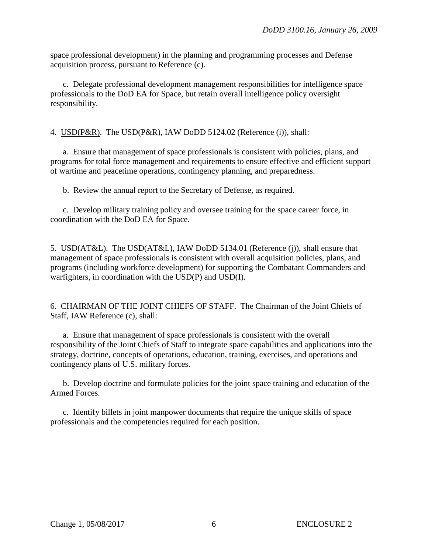space professional development) in the planning and programming processes and Defense acquisition process, pursuant to Reference (c).

c. Delegate professional development management responsibilities for intelligence space professionals to the DoD EA for Space, but retain overall intelligence policy oversight responsibility.

4. USD(P&R). The USD(P&R), IAW DoDD 5124.02 (Reference (i)), shall:

a. Ensure that management of space professionals is consistent with policies, plans, and programs for total force management and requirements to ensure effective and efficient support of wartime and peacetime operations, contingency planning, and preparedness.

b. Review the annual report to the Secretary of Defense, as required.

c. Develop military training policy and oversee training for the space career force, in coordination with the DoD EA for Space.

5. USD(AT&L). The USD(AT&L), IAW DoDD 5134.01 (Reference (j)), shall ensure that management of space professionals is consistent with overall acquisition policies, plans, and programs (including workforce development) for supporting the Combatant Commanders and warfighters, in coordination with the USD(P) and USD(I).

6. CHAIRMAN OF THE JOINT CHIEFS OF STAFF. The Chairman of the Joint Chiefs of Staff, IAW Reference (c), shall:

a. Ensure that management of space professionals is consistent with the overall responsibility of the Joint Chiefs of Staff to integrate space capabilities and applications into the strategy, doctrine, concepts of operations, education, training, exercises, and operations and contingency plans of U.S. military forces.

b. Develop doctrine and formulate policies for the joint space training and education of the Armed Forces.

c. Identify billets in joint manpower documents that require the unique skills of space professionals and the competencies required for each position.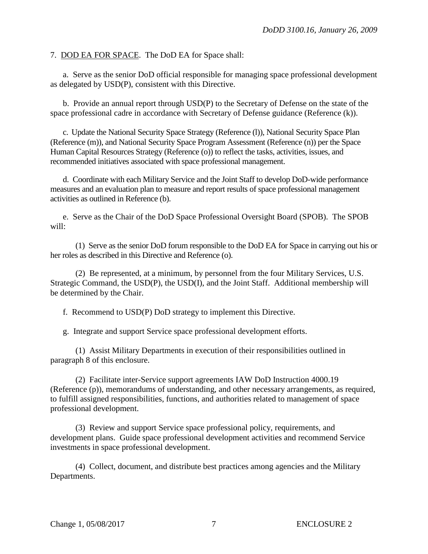#### 7. DOD EA FOR SPACE. The DoD EA for Space shall:

a. Serve as the senior DoD official responsible for managing space professional development as delegated by USD(P), consistent with this Directive.

b. Provide an annual report through USD(P) to the Secretary of Defense on the state of the space professional cadre in accordance with Secretary of Defense guidance (Reference (k)).

c. Update the National Security Space Strategy (Reference (l)), National Security Space Plan (Reference (m)), and National Security Space Program Assessment (Reference (n)) per the Space Human Capital Resources Strategy (Reference (o)) to reflect the tasks, activities, issues, and recommended initiatives associated with space professional management.

d. Coordinate with each Military Service and the Joint Staff to develop DoD-wide performance measures and an evaluation plan to measure and report results of space professional management activities as outlined in Reference (b).

e. Serve as the Chair of the DoD Space Professional Oversight Board (SPOB). The SPOB will:

(1) Serve as the senior DoD forum responsible to the DoD EA for Space in carrying out his or her roles as described in this Directive and Reference (o).

(2) Be represented, at a minimum, by personnel from the four Military Services, U.S. Strategic Command, the USD(P), the USD(I), and the Joint Staff. Additional membership will be determined by the Chair.

f. Recommend to USD(P) DoD strategy to implement this Directive.

g. Integrate and support Service space professional development efforts.

(1) Assist Military Departments in execution of their responsibilities outlined in paragraph 8 of this enclosure.

(2) Facilitate inter-Service support agreements IAW DoD Instruction 4000.19 (Reference (p)), memorandums of understanding, and other necessary arrangements, as required, to fulfill assigned responsibilities, functions, and authorities related to management of space professional development.

(3) Review and support Service space professional policy, requirements, and development plans. Guide space professional development activities and recommend Service investments in space professional development.

(4) Collect, document, and distribute best practices among agencies and the Military Departments.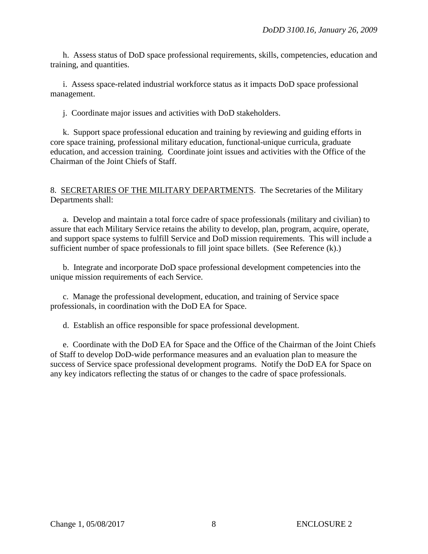h. Assess status of DoD space professional requirements, skills, competencies, education and training, and quantities.

i. Assess space-related industrial workforce status as it impacts DoD space professional management.

j. Coordinate major issues and activities with DoD stakeholders.

k. Support space professional education and training by reviewing and guiding efforts in core space training, professional military education, functional-unique curricula, graduate education, and accession training. Coordinate joint issues and activities with the Office of the Chairman of the Joint Chiefs of Staff.

#### 8. SECRETARIES OF THE MILITARY DEPARTMENTS. The Secretaries of the Military Departments shall:

a. Develop and maintain a total force cadre of space professionals (military and civilian) to assure that each Military Service retains the ability to develop, plan, program, acquire, operate, and support space systems to fulfill Service and DoD mission requirements. This will include a sufficient number of space professionals to fill joint space billets. (See Reference (k).)

b. Integrate and incorporate DoD space professional development competencies into the unique mission requirements of each Service.

c. Manage the professional development, education, and training of Service space professionals, in coordination with the DoD EA for Space.

d. Establish an office responsible for space professional development.

e. Coordinate with the DoD EA for Space and the Office of the Chairman of the Joint Chiefs of Staff to develop DoD-wide performance measures and an evaluation plan to measure the success of Service space professional development programs. Notify the DoD EA for Space on any key indicators reflecting the status of or changes to the cadre of space professionals.